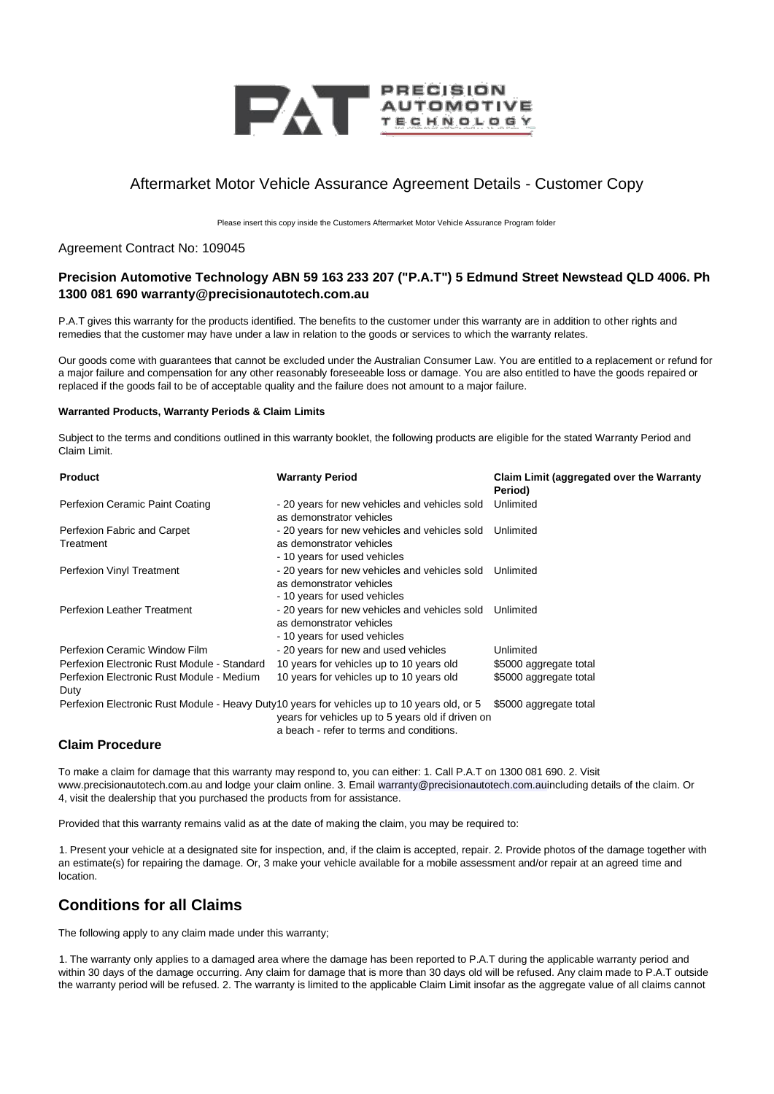

# Aftermarket Motor Vehicle Assurance Agreement Details - Customer Copy

Please insert this copy inside the Customers Aftermarket Motor Vehicle Assurance Program folder

#### Agreement Contract No: 109045

## **Precision Automotive Technology ABN 59 163 233 207 ("P.A.T") 5 Edmund Street Newstead QLD 4006. Ph 1300 081 690 warranty@precisionautotech.com.au**

P.A.T gives this warranty for the products identified. The benefits to the customer under this warranty are in addition to other rights and remedies that the customer may have under a law in relation to the goods or services to which the warranty relates.

Our goods come with guarantees that cannot be excluded under the Australian Consumer Law. You are entitled to a replacement or refund for a major failure and compensation for any other reasonably foreseeable loss or damage. You are also entitled to have the goods repaired or replaced if the goods fail to be of acceptable quality and the failure does not amount to a major failure.

#### **Warranted Products, Warranty Periods & Claim Limits**

Subject to the terms and conditions outlined in this warranty booklet, the following products are eligible for the stated Warranty Period and Claim Limit.

| <b>Product</b>                                    | <b>Warranty Period</b>                                                                                                                                                                        | Claim Limit (aggregated over the Warranty<br>Period) |
|---------------------------------------------------|-----------------------------------------------------------------------------------------------------------------------------------------------------------------------------------------------|------------------------------------------------------|
| Perfexion Ceramic Paint Coating                   | - 20 years for new vehicles and vehicles sold<br>as demonstrator vehicles                                                                                                                     | Unlimited                                            |
| Perfexion Fabric and Carpet                       | - 20 years for new vehicles and vehicles sold                                                                                                                                                 | Unlimited                                            |
| Treatment                                         | as demonstrator vehicles<br>- 10 years for used vehicles                                                                                                                                      |                                                      |
| Perfexion Vinyl Treatment                         | - 20 years for new vehicles and vehicles sold Unlimited<br>as demonstrator vehicles<br>- 10 years for used vehicles                                                                           |                                                      |
| <b>Perfexion Leather Treatment</b>                | - 20 years for new vehicles and vehicles sold<br>as demonstrator vehicles<br>- 10 years for used vehicles                                                                                     | Unlimited                                            |
| Perfexion Ceramic Window Film                     | - 20 years for new and used vehicles                                                                                                                                                          | Unlimited                                            |
| Perfexion Electronic Rust Module - Standard       | 10 years for vehicles up to 10 years old                                                                                                                                                      | \$5000 aggregate total                               |
| Perfexion Electronic Rust Module - Medium<br>Duty | 10 years for vehicles up to 10 years old                                                                                                                                                      | \$5000 aggregate total                               |
|                                                   | Perfexion Electronic Rust Module - Heavy Duty 10 years for vehicles up to 10 years old, or 5<br>years for vehicles up to 5 years old if driven on<br>a beach - refer to terms and conditions. | \$5000 aggregate total                               |

#### **Claim Procedure**

To make a claim for damage that this warranty may respond to, you can either: 1. Call P.A.T on 1300 081 690. 2. Visit www.precisionautotech.com.au and lodge your claim online. 3. Email warranty@precisionautotech.com.auincluding details of the claim. Or 4, visit the dealership that you purchased the products from for assistance.

Provided that this warranty remains valid as at the date of making the claim, you may be required to:

1. Present your vehicle at a designated site for inspection, and, if the claim is accepted, repair. 2. Provide photos of the damage together with an estimate(s) for repairing the damage. Or, 3 make your vehicle available for a mobile assessment and/or repair at an agreed time and location.

# **Conditions for all Claims**

The following apply to any claim made under this warranty;

1. The warranty only applies to a damaged area where the damage has been reported to P.A.T during the applicable warranty period and within 30 days of the damage occurring. Any claim for damage that is more than 30 days old will be refused. Any claim made to P.A.T outside the warranty period will be refused. 2. The warranty is limited to the applicable Claim Limit insofar as the aggregate value of all claims cannot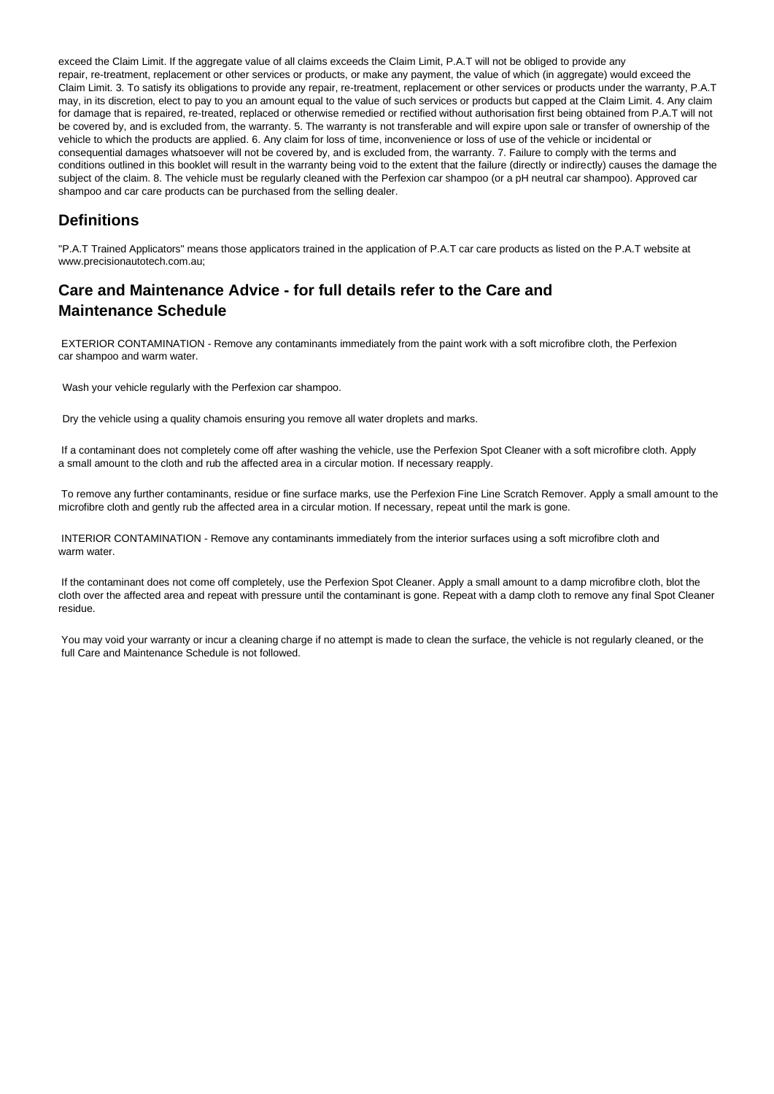exceed the Claim Limit. If the aggregate value of all claims exceeds the Claim Limit, P.A.T will not be obliged to provide any repair, re-treatment, replacement or other services or products, or make any payment, the value of which (in aggregate) would exceed the Claim Limit. 3. To satisfy its obligations to provide any repair, re-treatment, replacement or other services or products under the warranty, P.A.T may, in its discretion, elect to pay to you an amount equal to the value of such services or products but capped at the Claim Limit. 4. Any claim for damage that is repaired, re-treated, replaced or otherwise remedied or rectified without authorisation first being obtained from P.A.T will not be covered by, and is excluded from, the warranty. 5. The warranty is not transferable and will expire upon sale or transfer of ownership of the vehicle to which the products are applied. 6. Any claim for loss of time, inconvenience or loss of use of the vehicle or incidental or consequential damages whatsoever will not be covered by, and is excluded from, the warranty. 7. Failure to comply with the terms and conditions outlined in this booklet will result in the warranty being void to the extent that the failure (directly or indirectly) causes the damage the subject of the claim. 8. The vehicle must be regularly cleaned with the Perfexion car shampoo (or a pH neutral car shampoo). Approved car shampoo and car care products can be purchased from the selling dealer.

# **Definitions**

"P.A.T Trained Applicators" means those applicators trained in the application of P.A.T car care products as listed on the P.A.T website at www.precisionautotech.com.au;

# **Care and Maintenance Advice - for full details refer to the Care and Maintenance Schedule**

EXTERIOR CONTAMINATION - Remove any contaminants immediately from the paint work with a soft microfibre cloth, the Perfexion car shampoo and warm water.

Wash your vehicle regularly with the Perfexion car shampoo.

Dry the vehicle using a quality chamois ensuring you remove all water droplets and marks.

If a contaminant does not completely come off after washing the vehicle, use the Perfexion Spot Cleaner with a soft microfibre cloth. Apply a small amount to the cloth and rub the affected area in a circular motion. If necessary reapply.

To remove any further contaminants, residue or fine surface marks, use the Perfexion Fine Line Scratch Remover. Apply a small amount to the microfibre cloth and gently rub the affected area in a circular motion. If necessary, repeat until the mark is gone.

INTERIOR CONTAMINATION - Remove any contaminants immediately from the interior surfaces using a soft microfibre cloth and warm water.

If the contaminant does not come off completely, use the Perfexion Spot Cleaner. Apply a small amount to a damp microfibre cloth, blot the cloth over the affected area and repeat with pressure until the contaminant is gone. Repeat with a damp cloth to remove any final Spot Cleaner residue.

You may void your warranty or incur a cleaning charge if no attempt is made to clean the surface, the vehicle is not regularly cleaned, or the full Care and Maintenance Schedule is not followed.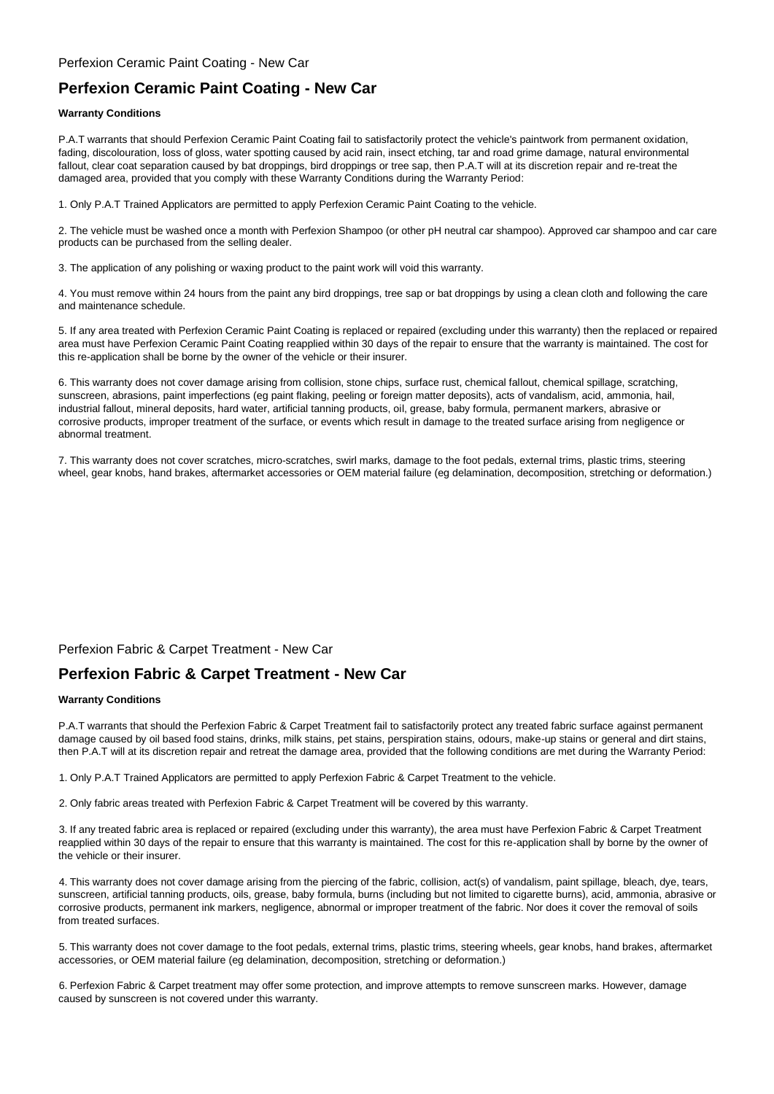### Perfexion Ceramic Paint Coating - New Car

## **Perfexion Ceramic Paint Coating - New Car**

#### **Warranty Conditions**

P.A.T warrants that should Perfexion Ceramic Paint Coating fail to satisfactorily protect the vehicle's paintwork from permanent oxidation, fading, discolouration, loss of gloss, water spotting caused by acid rain, insect etching, tar and road grime damage, natural environmental fallout, clear coat separation caused by bat droppings, bird droppings or tree sap, then P.A.T will at its discretion repair and re-treat the damaged area, provided that you comply with these Warranty Conditions during the Warranty Period:

1. Only P.A.T Trained Applicators are permitted to apply Perfexion Ceramic Paint Coating to the vehicle.

2. The vehicle must be washed once a month with Perfexion Shampoo (or other pH neutral car shampoo). Approved car shampoo and car care products can be purchased from the selling dealer.

3. The application of any polishing or waxing product to the paint work will void this warranty.

4. You must remove within 24 hours from the paint any bird droppings, tree sap or bat droppings by using a clean cloth and following the care and maintenance schedule.

5. If any area treated with Perfexion Ceramic Paint Coating is replaced or repaired (excluding under this warranty) then the replaced or repaired area must have Perfexion Ceramic Paint Coating reapplied within 30 days of the repair to ensure that the warranty is maintained. The cost for this re-application shall be borne by the owner of the vehicle or their insurer.

6. This warranty does not cover damage arising from collision, stone chips, surface rust, chemical fallout, chemical spillage, scratching, sunscreen, abrasions, paint imperfections (eg paint flaking, peeling or foreign matter deposits), acts of vandalism, acid, ammonia, hail, industrial fallout, mineral deposits, hard water, artificial tanning products, oil, grease, baby formula, permanent markers, abrasive or corrosive products, improper treatment of the surface, or events which result in damage to the treated surface arising from negligence or abnormal treatment.

7. This warranty does not cover scratches, micro-scratches, swirl marks, damage to the foot pedals, external trims, plastic trims, steering wheel, gear knobs, hand brakes, aftermarket accessories or OEM material failure (eg delamination, decomposition, stretching or deformation.)

### Perfexion Fabric & Carpet Treatment - New Car

## **Perfexion Fabric & Carpet Treatment - New Car**

#### **Warranty Conditions**

P.A.T warrants that should the Perfexion Fabric & Carpet Treatment fail to satisfactorily protect any treated fabric surface against permanent damage caused by oil based food stains, drinks, milk stains, pet stains, perspiration stains, odours, make-up stains or general and dirt stains, then P.A.T will at its discretion repair and retreat the damage area, provided that the following conditions are met during the Warranty Period:

1. Only P.A.T Trained Applicators are permitted to apply Perfexion Fabric & Carpet Treatment to the vehicle.

2. Only fabric areas treated with Perfexion Fabric & Carpet Treatment will be covered by this warranty.

3. If any treated fabric area is replaced or repaired (excluding under this warranty), the area must have Perfexion Fabric & Carpet Treatment reapplied within 30 days of the repair to ensure that this warranty is maintained. The cost for this re-application shall by borne by the owner of the vehicle or their insurer.

4. This warranty does not cover damage arising from the piercing of the fabric, collision, act(s) of vandalism, paint spillage, bleach, dye, tears, sunscreen, artificial tanning products, oils, grease, baby formula, burns (including but not limited to cigarette burns), acid, ammonia, abrasive or corrosive products, permanent ink markers, negligence, abnormal or improper treatment of the fabric. Nor does it cover the removal of soils from treated surfaces.

5. This warranty does not cover damage to the foot pedals, external trims, plastic trims, steering wheels, gear knobs, hand brakes, aftermarket accessories, or OEM material failure (eg delamination, decomposition, stretching or deformation.)

6. Perfexion Fabric & Carpet treatment may offer some protection, and improve attempts to remove sunscreen marks. However, damage caused by sunscreen is not covered under this warranty.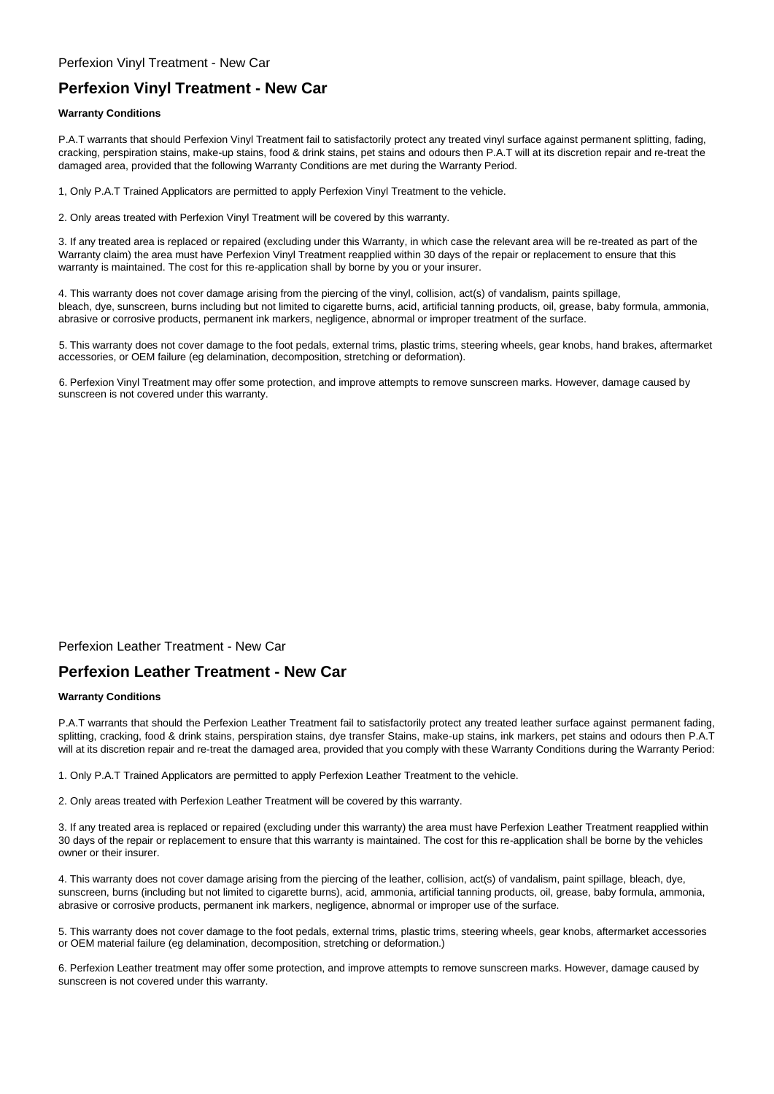# **Perfexion Vinyl Treatment - New Car**

#### **Warranty Conditions**

P.A.T warrants that should Perfexion Vinyl Treatment fail to satisfactorily protect any treated vinyl surface against permanent splitting, fading, cracking, perspiration stains, make-up stains, food & drink stains, pet stains and odours then P.A.T will at its discretion repair and re-treat the damaged area, provided that the following Warranty Conditions are met during the Warranty Period.

1, Only P.A.T Trained Applicators are permitted to apply Perfexion Vinyl Treatment to the vehicle.

2. Only areas treated with Perfexion Vinyl Treatment will be covered by this warranty.

3. If any treated area is replaced or repaired (excluding under this Warranty, in which case the relevant area will be re-treated as part of the Warranty claim) the area must have Perfexion Vinyl Treatment reapplied within 30 days of the repair or replacement to ensure that this warranty is maintained. The cost for this re-application shall by borne by you or your insurer.

4. This warranty does not cover damage arising from the piercing of the vinyl, collision, act(s) of vandalism, paints spillage, bleach, dye, sunscreen, burns including but not limited to cigarette burns, acid, artificial tanning products, oil, grease, baby formula, ammonia, abrasive or corrosive products, permanent ink markers, negligence, abnormal or improper treatment of the surface.

5. This warranty does not cover damage to the foot pedals, external trims, plastic trims, steering wheels, gear knobs, hand brakes, aftermarket accessories, or OEM failure (eg delamination, decomposition, stretching or deformation).

6. Perfexion Vinyl Treatment may offer some protection, and improve attempts to remove sunscreen marks. However, damage caused by sunscreen is not covered under this warranty.

Perfexion Leather Treatment - New Car

## **Perfexion Leather Treatment - New Car**

#### **Warranty Conditions**

P.A.T warrants that should the Perfexion Leather Treatment fail to satisfactorily protect any treated leather surface against permanent fading, splitting, cracking, food & drink stains, perspiration stains, dye transfer Stains, make-up stains, ink markers, pet stains and odours then P.A.T will at its discretion repair and re-treat the damaged area, provided that you comply with these Warranty Conditions during the Warranty Period:

1. Only P.A.T Trained Applicators are permitted to apply Perfexion Leather Treatment to the vehicle.

2. Only areas treated with Perfexion Leather Treatment will be covered by this warranty.

3. If any treated area is replaced or repaired (excluding under this warranty) the area must have Perfexion Leather Treatment reapplied within 30 days of the repair or replacement to ensure that this warranty is maintained. The cost for this re-application shall be borne by the vehicles owner or their insurer.

4. This warranty does not cover damage arising from the piercing of the leather, collision, act(s) of vandalism, paint spillage, bleach, dye, sunscreen, burns (including but not limited to cigarette burns), acid, ammonia, artificial tanning products, oil, grease, baby formula, ammonia, abrasive or corrosive products, permanent ink markers, negligence, abnormal or improper use of the surface.

5. This warranty does not cover damage to the foot pedals, external trims, plastic trims, steering wheels, gear knobs, aftermarket accessories or OEM material failure (eg delamination, decomposition, stretching or deformation.)

6. Perfexion Leather treatment may offer some protection, and improve attempts to remove sunscreen marks. However, damage caused by sunscreen is not covered under this warranty.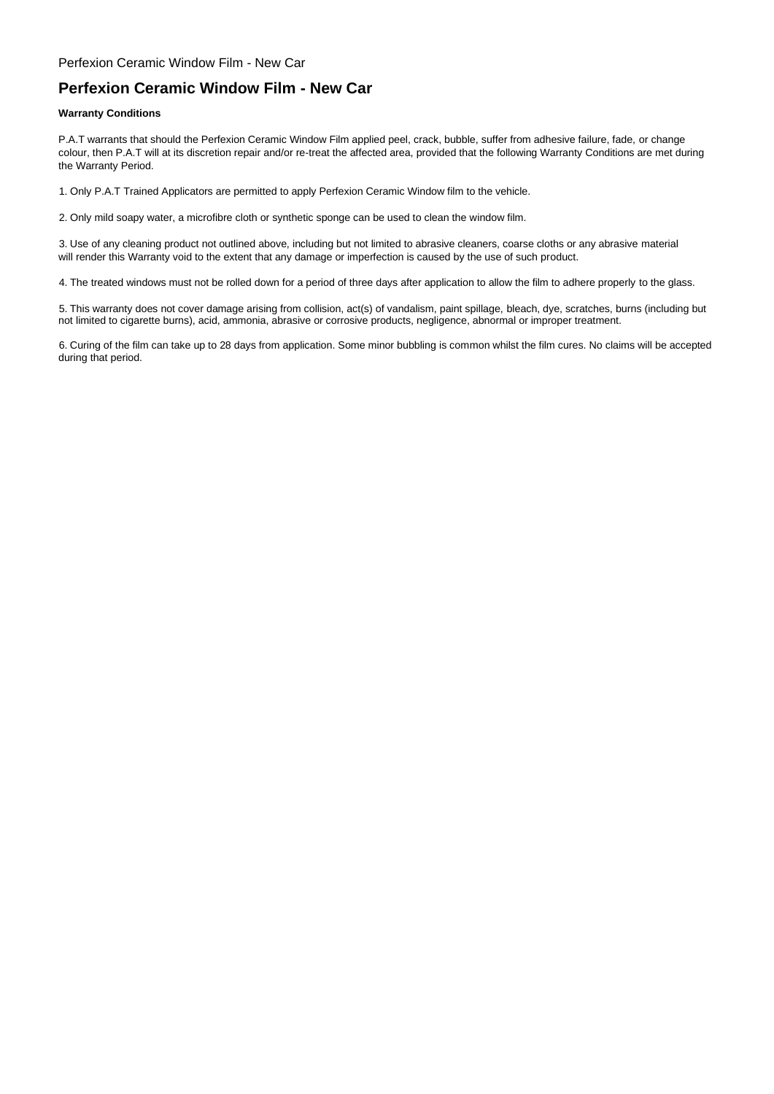### Perfexion Ceramic Window Film - New Car

## **Perfexion Ceramic Window Film - New Car**

#### **Warranty Conditions**

P.A.T warrants that should the Perfexion Ceramic Window Film applied peel, crack, bubble, suffer from adhesive failure, fade, or change colour, then P.A.T will at its discretion repair and/or re-treat the affected area, provided that the following Warranty Conditions are met during the Warranty Period.

1. Only P.A.T Trained Applicators are permitted to apply Perfexion Ceramic Window film to the vehicle.

2. Only mild soapy water, a microfibre cloth or synthetic sponge can be used to clean the window film.

3. Use of any cleaning product not outlined above, including but not limited to abrasive cleaners, coarse cloths or any abrasive material will render this Warranty void to the extent that any damage or imperfection is caused by the use of such product.

4. The treated windows must not be rolled down for a period of three days after application to allow the film to adhere properly to the glass.

5. This warranty does not cover damage arising from collision, act(s) of vandalism, paint spillage, bleach, dye, scratches, burns (including but not limited to cigarette burns), acid, ammonia, abrasive or corrosive products, negligence, abnormal or improper treatment.

6. Curing of the film can take up to 28 days from application. Some minor bubbling is common whilst the film cures. No claims will be accepted during that period.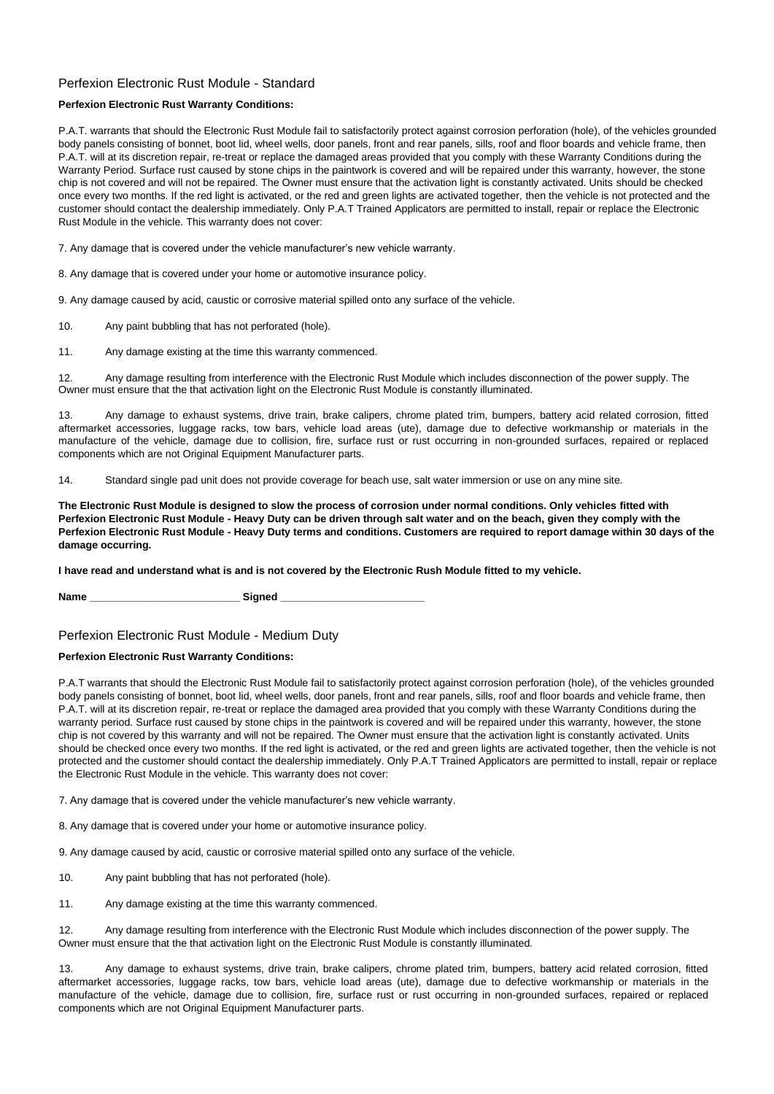## Perfexion Electronic Rust Module - Standard

#### **Perfexion Electronic Rust Warranty Conditions:**

P.A.T. warrants that should the Electronic Rust Module fail to satisfactorily protect against corrosion perforation (hole), of the vehicles grounded body panels consisting of bonnet, boot lid, wheel wells, door panels, front and rear panels, sills, roof and floor boards and vehicle frame, then P.A.T. will at its discretion repair, re-treat or replace the damaged areas provided that you comply with these Warranty Conditions during the Warranty Period. Surface rust caused by stone chips in the paintwork is covered and will be repaired under this warranty, however, the stone chip is not covered and will not be repaired. The Owner must ensure that the activation light is constantly activated. Units should be checked once every two months. If the red light is activated, or the red and green lights are activated together, then the vehicle is not protected and the customer should contact the dealership immediately. Only P.A.T Trained Applicators are permitted to install, repair or replace the Electronic Rust Module in the vehicle. This warranty does not cover:

7. Any damage that is covered under the vehicle manufacturer's new vehicle warranty.

8. Any damage that is covered under your home or automotive insurance policy.

9. Any damage caused by acid, caustic or corrosive material spilled onto any surface of the vehicle.

10. Any paint bubbling that has not perforated (hole).

11. Any damage existing at the time this warranty commenced.

12. Any damage resulting from interference with the Electronic Rust Module which includes disconnection of the power supply. The Owner must ensure that the that activation light on the Electronic Rust Module is constantly illuminated.

13. Any damage to exhaust systems, drive train, brake calipers, chrome plated trim, bumpers, battery acid related corrosion, fitted aftermarket accessories, luggage racks, tow bars, vehicle load areas (ute), damage due to defective workmanship or materials in the manufacture of the vehicle, damage due to collision, fire, surface rust or rust occurring in non-grounded surfaces, repaired or replaced components which are not Original Equipment Manufacturer parts.

14. Standard single pad unit does not provide coverage for beach use, salt water immersion or use on any mine site.

**The Electronic Rust Module is designed to slow the process of corrosion under normal conditions. Only vehicles fitted with Perfexion Electronic Rust Module - Heavy Duty can be driven through salt water and on the beach, given they comply with the Perfexion Electronic Rust Module - Heavy Duty terms and conditions. Customers are required to report damage within 30 days of the damage occurring.**

**I have read and understand what is and is not covered by the Electronic Rush Module fitted to my vehicle.**

Name **Name Name Name Name Signed** 

Perfexion Electronic Rust Module - Medium Duty

#### **Perfexion Electronic Rust Warranty Conditions:**

P.A.T warrants that should the Electronic Rust Module fail to satisfactorily protect against corrosion perforation (hole), of the vehicles grounded body panels consisting of bonnet, boot lid, wheel wells, door panels, front and rear panels, sills, roof and floor boards and vehicle frame, then P.A.T. will at its discretion repair, re-treat or replace the damaged area provided that you comply with these Warranty Conditions during the warranty period. Surface rust caused by stone chips in the paintwork is covered and will be repaired under this warranty, however, the stone chip is not covered by this warranty and will not be repaired. The Owner must ensure that the activation light is constantly activated. Units should be checked once every two months. If the red light is activated, or the red and green lights are activated together, then the vehicle is not protected and the customer should contact the dealership immediately. Only P.A.T Trained Applicators are permitted to install, repair or replace the Electronic Rust Module in the vehicle. This warranty does not cover:

7. Any damage that is covered under the vehicle manufacturer's new vehicle warranty.

8. Any damage that is covered under your home or automotive insurance policy.

9. Any damage caused by acid, caustic or corrosive material spilled onto any surface of the vehicle.

10. Any paint bubbling that has not perforated (hole).

11. Any damage existing at the time this warranty commenced.

12. Any damage resulting from interference with the Electronic Rust Module which includes disconnection of the power supply. The Owner must ensure that the that activation light on the Electronic Rust Module is constantly illuminated.

13. Any damage to exhaust systems, drive train, brake calipers, chrome plated trim, bumpers, battery acid related corrosion, fitted aftermarket accessories, luggage racks, tow bars, vehicle load areas (ute), damage due to defective workmanship or materials in the manufacture of the vehicle, damage due to collision, fire, surface rust or rust occurring in non-grounded surfaces, repaired or replaced components which are not Original Equipment Manufacturer parts.